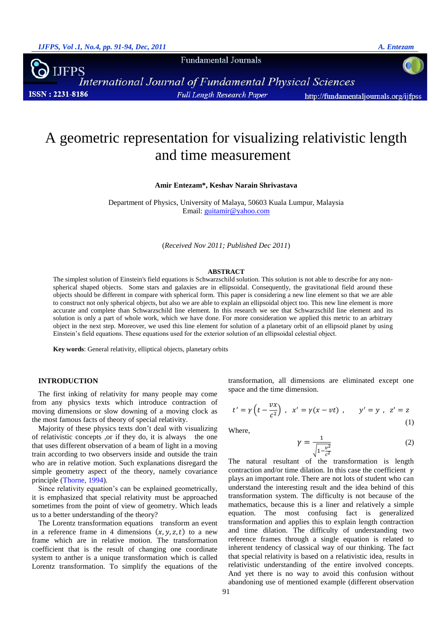**Fundamental Journals** 

JFPS International Journal of Fundamental Physical Sciences **ISSN: 2231-8186 Full Length Research Paper** http://fundamentaljournals.org/ijfpss

# A geometric representation for visualizing relativistic length and time measurement

**Amir Entezam\*, Keshav Narain Shrivastava**

Department of Physics, University of Malaya, 50603 Kuala Lumpur, Malaysia Email: [guitamir@yahoo.com](mailto:guitamir@yahoo.com)

(*Received Nov 2011; Published Dec 2011*)

#### **ABSTRACT**

The simplest solution of Einstein's field equations is Schwarzschild solution. This solution is not able to describe for any nonspherical shaped objects. Some stars and galaxies are in ellipsoidal. Consequently, the gravitational field around these objects should be different in compare with spherical form. This paper is considering a new line element so that we are able to construct not only spherical objects, but also we are able to explain an ellipsoidal object too. This new line element is more accurate and complete than Schwarzschild line element. In this research we see that Schwarzschild line element and its solution is only a part of whole work, which we have done. For more consideration we applied this metric to an arbitrary object in the next step. Moreover, we used this line element for solution of a planetary orbit of an ellipsoid planet by using Einstein's field equations. These equations used for the exterior solution of an ellipsoidal celestial object.

**Key words**: General relativity, elliptical objects, planetary orbits

## **INTRODUCTION**

The first inking of relativity for many people may come from any physics texts which introduce contraction of moving dimensions or slow downing of a moving clock as the most famous facts of theory of special relativity.

Majority of these physics texts don't deal with visualizing of relativistic concepts ,or if they do, it is always the one that uses different observation of a beam of light in a moving train according to two observers inside and outside the train who are in relative motion. Such explanations disregard the simple geometry aspect of the theory, namely covariance principle [\(Thorne, 1994\)](#page-3-0).

Since relativity equation's can be explained geometrically, it is emphasized that special relativity must be approached sometimes from the point of view of geometry. Which leads us to a better understanding of the theory?

The Lorentz transformation equations transform an event in a reference frame in 4 dimensions  $(x, y, z, t)$  to a new frame which are in relative motion. The transformation coefficient that is the result of changing one coordinate system to anther is a unique transformation which is called Lorentz transformation. To simplify the equations of the transformation, all dimensions are eliminated except one space and the time dimension.

$$
t' = \gamma \left( t - \frac{vx}{c^2} \right) , \quad x' = \gamma (x - vt) , \qquad y' = y , \quad z' = z
$$
 (1)

Where,

$$
\gamma = \frac{1}{\sqrt{1 - \frac{v^2}{c^2}}} \tag{2}
$$

The natural resultant of the transformation is length contraction and/or time dilation. In this case the coefficient  $\gamma$ plays an important role. There are not lots of student who can understand the interesting result and the idea behind of this transformation system. The difficulty is not because of the mathematics, because this is a liner and relatively a simple equation. The most confusing fact is generalized transformation and applies this to explain length contraction and time dilation. The difficulty of understanding two reference frames through a single equation is related to inherent tendency of classical way of our thinking. The fact that special relativity is based on a relativistic idea, results in relativistic understanding of the entire involved concepts. And yet there is no way to avoid this confusion without abandoning use of mentioned example (different observation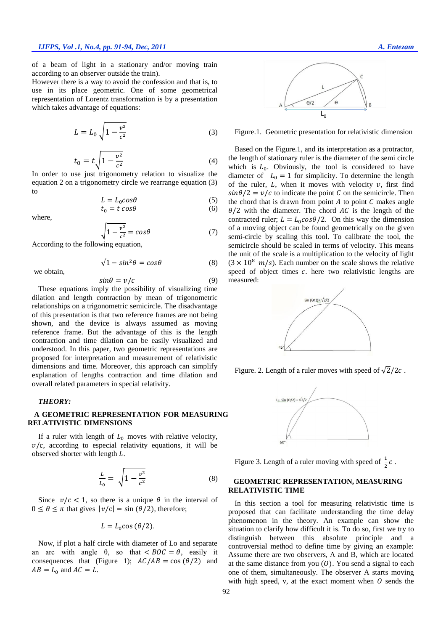of a beam of light in a stationary and/or moving train according to an observer outside the train).

However there is a way to avoid the confession and that is, to use in its place geometric. One of some geometrical representation of Lorentz transformation is by a presentation which takes advantage of equations:

$$
L = L_0 \sqrt{1 - \frac{v^2}{c^2}}
$$
 (3)

$$
t_0 = t \sqrt{1 - \frac{v^2}{c^2}} \tag{4}
$$

In order to use just trigonometry relation to visualize the equation 2 on a trigonometry circle we rearrange equation (3) to

$$
L = L_0 \cos \theta \tag{5}
$$
  

$$
t_0 = t \cos \theta \tag{6}
$$

where,

we obtain,

$$
\sqrt{1 - \frac{v^2}{c^2}} = \cos\theta \tag{7}
$$

According to the following equation,

$$
\sqrt{1 - \sin^2 \theta} = \cos \theta \tag{8}
$$

$$
\sin \theta = v/c \tag{9}
$$

These equations imply the possibility of visualizing time dilation and length contraction by mean of trigonometric relationships on a trigonometric semicircle. The disadvantage of this presentation is that two reference frames are not being shown, and the device is always assumed as moving reference frame. But the advantage of this is the length contraction and time dilation can be easily visualized and understood. In this paper, two geometric representations are proposed for interpretation and measurement of relativistic dimensions and time. Moreover, this approach can simplify explanation of lengths contraction and time dilation and overall related parameters in special relativity.

### *THEORY:*

# **A GEOMETRIC REPRESENTATION FOR MEASURING RELATIVISTIC DIMENSIONS**

If a ruler with length of  $L_0$  moves with relative velocity,  $v/c$ , according to especial relativity equations, it will be observed shorter with length  $L$ .

$$
\frac{L}{L_0} = \sqrt{1 - \frac{v^2}{c^2}}\tag{8}
$$

Since  $v/c < 1$ , so there is a unique  $\theta$  in the interval of  $0 \le \theta \le \pi$  that gives  $|v/c| = \sin(\theta/2)$ , therefore;

$$
L = L_0 \cos{(\theta/2)}.
$$

Now, if plot a half circle with diameter of Lo and separate an arc with angle  $\theta$ , so that  $\lt BOC = \theta$ , easily it consequences that (Figure 1);  $AC/AB = \cos(\theta/2)$  and  $AB = L_0$  and  $AC = L$ .



Figure.1. Geometric presentation for relativistic dimension

Based on the Figure.1, and its interpretation as a protractor, the length of stationary ruler is the diameter of the semi circle which is  $L_0$ . Obviously, the tool is considered to have diameter of  $L_0 = 1$  for simplicity. To determine the length of the ruler,  $L$ , when it moves with velocity  $v$ , first find  $sin\theta/2 = v/c$  to indicate the point C on the semicircle. Then the chord that is drawn from point  $A$  to point  $C$  makes angle  $\theta/2$  with the diameter. The chord AC is the length of the contracted ruler;  $L = L_0 \cos{\theta}/2$ . On this way the dimension of a moving object can be found geometrically on the given semi-circle by scaling this tool. To calibrate the tool, the semicircle should be scaled in terms of velocity. This means the unit of the scale is a multiplication to the velocity of light  $(3 \times 10^8$  m/s). Each number on the scale shows the relative speed of object times  $c$ . here two relativistic lengths are measured:



Figure. 2. Length of a ruler moves with speed of  $\sqrt{2}/2c$ .



Figure 3. Length of a ruler moving with speed of  $\frac{1}{2}c$ .

## **GEOMETRIC REPRESENTATION, MEASURING RELATIVISTIC TIME**

In this section a tool for measuring relativistic time is proposed that can facilitate understanding the time delay phenomenon in the theory. An example can show the situation to clarify how difficult it is. To do so, first we try to distinguish between this absolute principle and a controversial method to define time by giving an example: Assume there are two observers, A and B, which are located at the same distance from you  $(0)$ . You send a signal to each one of them, simultaneously. The observer A starts moving with high speed, v, at the exact moment when  *sends the*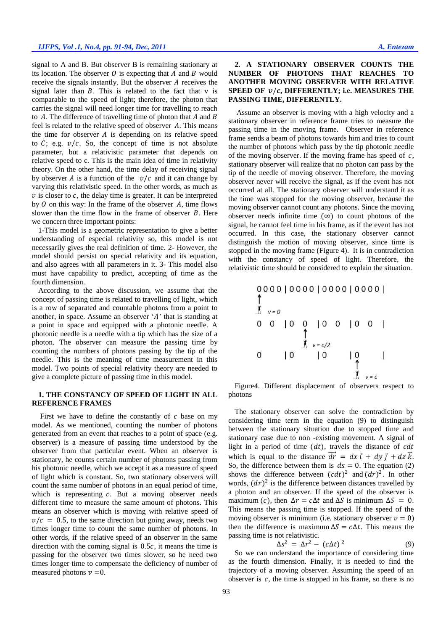signal to A and B. But observer B is remaining stationary at its location. The observer  $O$  is expecting that  $A$  and  $B$  would receive the signals instantly. But the observer  $A$  receives the signal later than  $B$ . This is related to the fact that  $v$  is comparable to the speed of light; therefore, the photon that carries the signal will need longer time for travelling to reach to  $A$ . The difference of travelling time of photon that  $A$  and  $B$ feel is related to the relative speed of observer  $A$ . This means the time for observer  $A$  is depending on its relative speed to  $C$ ; e.g.  $v/c$ . So, the concept of time is not absolute parameter, but a relativistic parameter that depends on relative speed to c. This is the main idea of time in relativity theory. On the other hand, the time delay of receiving signal by observer A is a function of the  $v/c$  and it can change by varying this relativistic speed. In the other words, as much as  $\nu$  is closer to  $c$ , the delay time is greater. It can be interpreted by  $\theta$  on this way: In the frame of the observer  $A$ , time flows slower than the time flow in the frame of observer  $B$ . Here we concern three important points:

1-This model is a geometric representation to give a better understanding of especial relativity so, this model is not necessarily gives the real definition of time. 2- However, the model should persist on special relativity and its equation, and also agrees with all parameters in it. 3- This model also must have capability to predict, accepting of time as the fourth dimension.

According to the above discussion, we assume that the concept of passing time is related to travelling of light, which is a row of separated and countable photons from a point to another, in space. Assume an observer  $A'$  that is standing at a point in space and equipped with a photonic needle. A photonic needle is a needle with a tip which has the size of a photon. The observer can measure the passing time by counting the numbers of photons passing by the tip of the needle. This is the meaning of time measurement in this model. Two points of special relativity theory are needed to give a complete picture of passing time in this model.

## **1. THE CONSTANCY OF SPEED OF LIGHT IN ALL REFERENCE FRAMES**

First we have to define the constantly of  $c$  base on my model. As we mentioned, counting the number of photons generated from an event that reaches to a point of space (e.g. observer) is a measure of passing time understood by the observer from that particular event. When an observer is stationary, he counts certain number of photons passing from his photonic needle, which we accept it as a measure of speed of light which is constant. So, two stationary observers will count the same number of photons in an equal period of time, which is representing  $c$ . But a moving observer needs different time to measure the same amount of photons. This means an observer which is moving with relative speed of  $v/c = 0.5$ , to the same direction but going away, needs two times longer time to count the same number of photons. In other words, if the relative speed of an observer in the same direction with the coming signal is  $0.5c$ , it means the time is passing for the observer two times slower, so he need two times longer time to compensate the deficiency of number of measured photons  $\nu = 0$ .

## **2. A STATIONARY OBSERVER COUNTS THE NUMBER OF PHOTONS THAT REACHES TO ANOTHER MOVING OBSERVER WITH RELATIVE SPEED OF**  $v/c$ **, DIFFERENTLY; i.e. MEASURES THE PASSING TIME, DIFFERENTLY.**

Assume an observer is moving with a high velocity and a stationary observer in reference frame tries to measure the passing time in the moving frame. Observer in reference frame sends a beam of photons towards him and tries to count the number of photons which pass by the tip photonic needle of the moving observer. If the moving frame has speed of  $c$ , stationary observer will realize that no photon can pass by the tip of the needle of moving observer. Therefore, the moving observer never will receive the signal, as if the event has not occurred at all. The stationary observer will understand it as the time was stopped for the moving observer, because the moving observer cannot count any photons. Since the moving observer needs infinite time  $(\infty)$  to count photons of the signal, he cannot feel time in his frame, as if the event has not occurred. In this case, the stationary observer cannot distinguish the motion of moving observer, since time is stopped in the moving frame (Figure 4). It is in contradiction with the constancy of speed of light. Therefore, the relativistic time should be considered to explain the situation.

Figure4. Different displacement of observers respect to photons

The stationary observer can solve the contradiction by considering time term in the equation (9) to distinguish between the stationary situation due to stopped time and stationary case due to non -existing movement. A signal of light in a period of time  $(dt)$ , travels the distance of  $cdt$ which is equal to the distance  $\vec{dr} = dx \vec{\imath} + dy \vec{\jmath} + dz \vec{k}$ . So, the difference between them is  $ds = 0$ . The equation (2) shows the difference between  $(cdt)^2$  and  $(dr)^2$ . In other words,  $(dr)^2$  is the difference between distances travelled by a photon and an observer. If the speed of the observer is maximum (c), then  $\Delta r = c \Delta t$  and  $\Delta S$  is minimum  $\Delta S = 0$ . This means the passing time is stopped. If the speed of the moving observer is minimum (i.e. stationary observer  $v = 0$ ) then the difference is maximum  $\Delta S = c \Delta t$ . This means the passing time is not relativistic.

$$
\Delta s^2 = \Delta r^2 - (c\Delta t)^2 \tag{9}
$$

So we can understand the importance of considering time as the fourth dimension. Finally, it is needed to find the trajectory of a moving observer. Assuming the speed of an observer is  $c$ , the time is stopped in his frame, so there is no